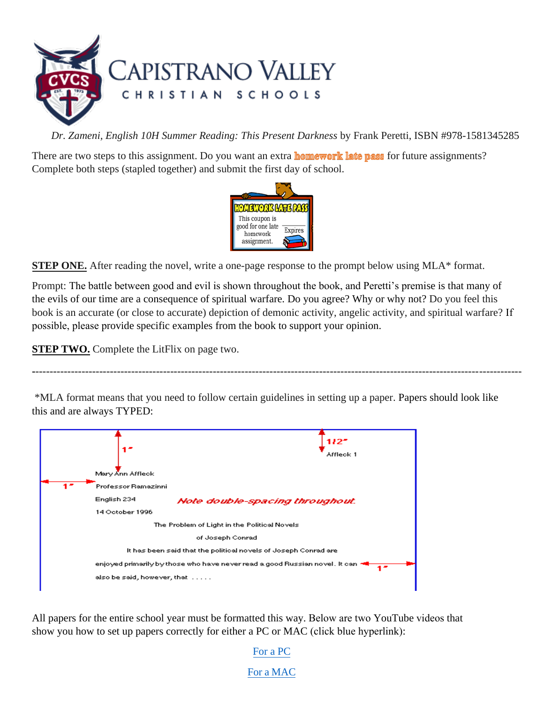

*Dr. Zameni, English 10H Summer Reading: This Present Darkness* by Frank Peretti, ISBN #978-1581345285

There are two steps to this assignment. Do you want an extra **homework late pass** for future assignments? Complete both steps (stapled together) and submit the first day of school.



**STEP ONE.** After reading the novel, write a one-page response to the prompt below using MLA\* format.

Prompt: The battle between good and evil is shown throughout the book, and Peretti's premise is that many of the evils of our time are a consequence of spiritual warfare. Do you agree? Why or why not? Do you feel this book is an accurate (or close to accurate) depiction of demonic activity, angelic activity, and spiritual warfare? If possible, please provide specific examples from the book to support your opinion.

**-**-----------------------------------------------------------------------------------------------------------------------------------------

**STEP TWO.** Complete the LitFlix on page two.

\*MLA format means that you need to follow certain guidelines in setting up a paper. Papers should look like this and are always TYPED:



All papers for the entire school year must be formatted this way. Below are two YouTube videos that show you how to set up papers correctly for either a PC or MAC (click blue hyperlink):